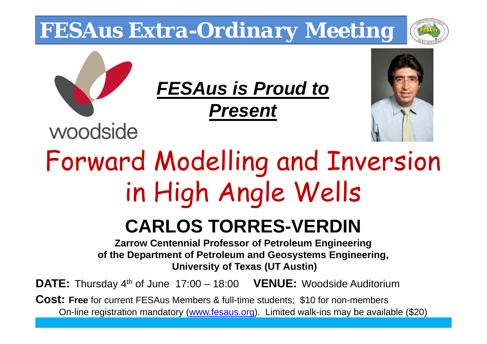## *FESAus Extra-Ordinary Meeting*

woodside



## *FESAus is Proud to*

*Present*



## Forward Modelling and Inversion in High Angle Wells

## **CARLOS TORRES-VERDIN**

**Zarrow Centennial Professor of Petroleum Engineering of the Department of Petroleum and Geosystems Engineering, University of Texas (UT Austin)**

**DATE:** Thursday 4th of June 17:00 – 18:00 **VENUE:** Woodside Auditorium

**Cost: Free** for current FESAus Members & full-time students; \$10 for non-members On-line registration mandatory (www.fesaus.org). Limited walk-ins may be available (\$20)